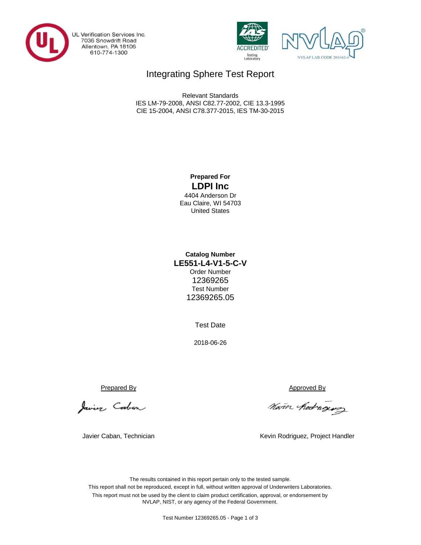

UL Verification Services Inc.<br>7036 Snowdrift Road<br>Allentown, PA 18106 610-774-1300





## Integrating Sphere Test Report

CIE 15-2004, ANSI C78.377-2015, IES TM-30-2015 Relevant Standards IES LM-79-2008, ANSI C82.77-2002, CIE 13.3-1995

## **Prepared For LDPI Inc**

4404 Anderson Dr Eau Claire, WI 54703 United States

## **LE551-L4-V1-5-C-V Catalog Number** Order Number 12369265 Test Number 12369265.05

Test Date

2018-06-26

Javier Caban

Prepared By Approved By

Nam hedroging

Javier Caban, Technician **Kevin Rodriguez, Project Handler** Kevin Rodriguez, Project Handler

The results contained in this report pertain only to the tested sample. This report shall not be reproduced, except in full, without written approval of Underwriters Laboratories. This report must not be used by the client to claim product certification, approval, or endorsement by NVLAP, NIST, or any agency of the Federal Government.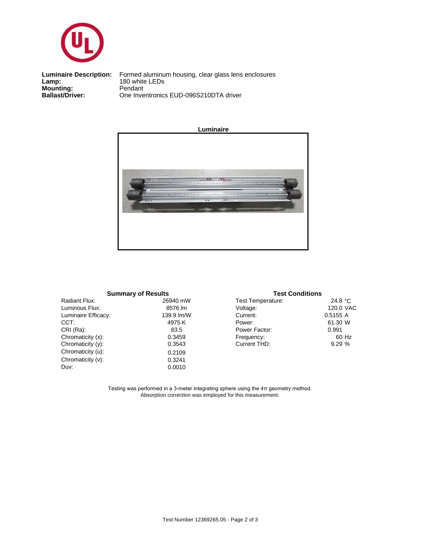

**Mounting:** Pendant<br> **Ballast/Driver:** One Inve **Luminaire Description:**<br>Lamp:

One Inventronics EUD-096S210DTA driver Formed aluminum housing, clear glass lens enclosures<br>180 white LEDs



| <b>Summary of Results</b> |            |  |  |  |  |  |  |  |
|---------------------------|------------|--|--|--|--|--|--|--|
| Radiant Flux:             | 26940 mW   |  |  |  |  |  |  |  |
| Luminous Flux:            | 8576 lm    |  |  |  |  |  |  |  |
| Luminaire Efficacy:       | 139.9 lm/W |  |  |  |  |  |  |  |
| CCT:                      | 4975K      |  |  |  |  |  |  |  |
| CRI (Ra):                 | 83.5       |  |  |  |  |  |  |  |
| Chromaticity (x):         | 0.3459     |  |  |  |  |  |  |  |
| Chromaticity (y):         | 0.3543     |  |  |  |  |  |  |  |
| Chromaticity (u):         | 0.2109     |  |  |  |  |  |  |  |
| Chromaticity (v):         | 0.3241     |  |  |  |  |  |  |  |
| Duv:                      | 0.0010     |  |  |  |  |  |  |  |
|                           |            |  |  |  |  |  |  |  |

#### 24.8 °C 120.0 VAC 0.5155 A W 61.30 60 Hz % 9.29 Test Temperature: Power Factor: 0.991 Current THD: Power: Current: Frequency: **Test Conditions** Voltage:

Testing was performed in a 3-meter integrating sphere using the 4π geometry method. Absorption correction was employed for this measurement.